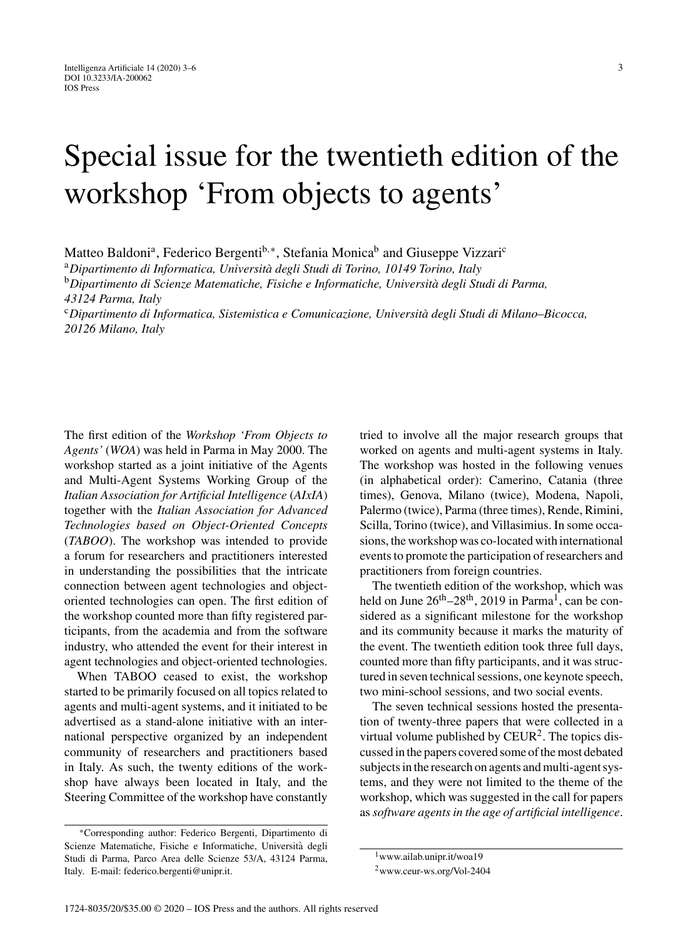## Special issue for the twentieth edition of the workshop 'From objects to agents'

Matteo Baldoni<sup>a</sup>, Federico Bergenti<sup>b,∗</sup>, Stefania Monica<sup>b</sup> and Giuseppe Vizzari<sup>c</sup>

<sup>a</sup>Dipartimento di Informatica, Università degli Studi di Torino, 10149 Torino, Italy

<sup>b</sup>Dipartimento di Scienze Matematiche, Fisiche e Informatiche, Università degli Studi di Parma, *43124 Parma, Italy*

<sup>c</sup>Dipartimento di Informatica, Sistemistica e Comunicazione, Università degli Studi di Milano–Bicocca, *20126 Milano, Italy*

The first edition of the *Workshop 'From Objects to Agents'* (*WOA*) was held in Parma in May 2000. The workshop started as a joint initiative of the Agents and Multi-Agent Systems Working Group of the *Italian Association for Artificial Intelligence* (*AIxIA*) together with the *Italian Association for Advanced Technologies based on Object-Oriented Concepts* (*TABOO*). The workshop was intended to provide a forum for researchers and practitioners interested in understanding the possibilities that the intricate connection between agent technologies and objectoriented technologies can open. The first edition of the workshop counted more than fifty registered participants, from the academia and from the software industry, who attended the event for their interest in agent technologies and object-oriented technologies.

When TABOO ceased to exist, the workshop started to be primarily focused on all topics related to agents and multi-agent systems, and it initiated to be advertised as a stand-alone initiative with an international perspective organized by an independent community of researchers and practitioners based in Italy. As such, the twenty editions of the workshop have always been located in Italy, and the Steering Committee of the workshop have constantly

∗Corresponding author: Federico Bergenti, Dipartimento di Scienze Matematiche, Fisiche e Informatiche, Universita degli ` Studi di Parma, Parco Area delle Scienze 53/A, 43124 Parma, Italy. E-mail: [federico.bergenti@unipr.it](mailto:federico.bergenti@unipr.it).

tried to involve all the major research groups that worked on agents and multi-agent systems in Italy. The workshop was hosted in the following venues (in alphabetical order): Camerino, Catania (three times), Genova, Milano (twice), Modena, Napoli, Palermo (twice), Parma (three times), Rende, Rimini, Scilla, Torino (twice), and Villasimius. In some occasions, the workshop was co-located with international events to promote the participation of researchers and practitioners from foreign countries.

The twentieth edition of the workshop, which was held on June  $26^{th} - 28^{th}$ , 2019 in Parma<sup>1</sup>, can be considered as a significant milestone for the workshop and its community because it marks the maturity of the event. The twentieth edition took three full days, counted more than fifty participants, and it was structured in seven technical sessions, one keynote speech, two mini-school sessions, and two social events.

The seven technical sessions hosted the presentation of twenty-three papers that were collected in a virtual volume published by  $CEUR<sup>2</sup>$ . The topics discussed in the papers covered some of the most debated subjects in the research on agents and multi-agent systems, and they were not limited to the theme of the workshop, which was suggested in the call for papers as*software agents in the age of artificial intelligence*.

<sup>1</sup>[www.ailab.unipr.it/woa19](http://www.ailab.unipr.it/woa19)

<sup>2</sup>[www.ceur-ws.org/Vol-2404](http://www.ceur-ws.org/Vol-2404)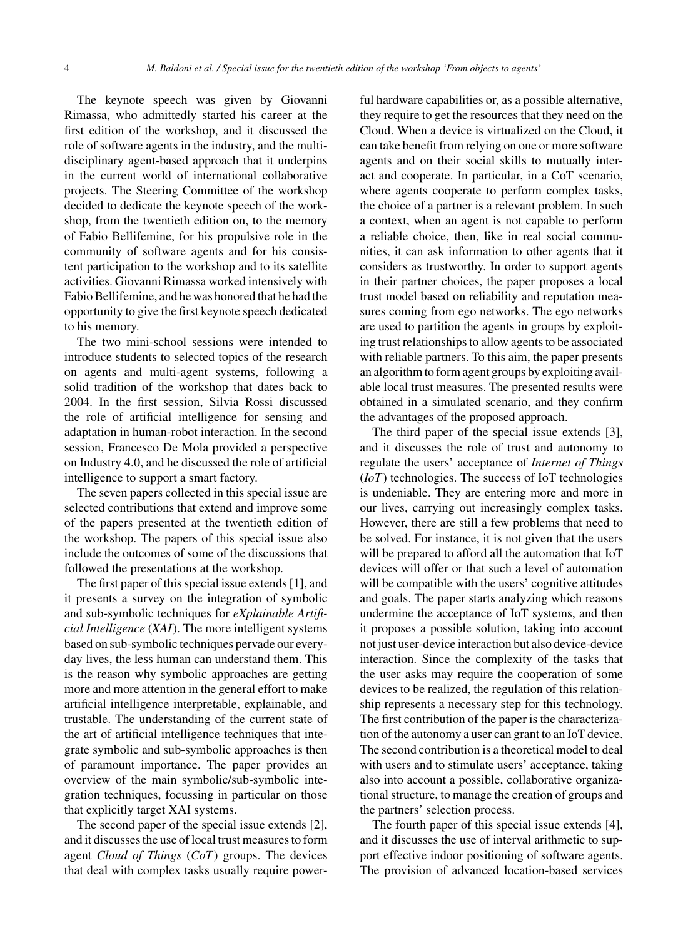The keynote speech was given by Giovanni Rimassa, who admittedly started his career at the first edition of the workshop, and it discussed the role of software agents in the industry, and the multidisciplinary agent-based approach that it underpins in the current world of international collaborative projects. The Steering Committee of the workshop decided to dedicate the keynote speech of the workshop, from the twentieth edition on, to the memory of Fabio Bellifemine, for his propulsive role in the community of software agents and for his consistent participation to the workshop and to its satellite activities. Giovanni Rimassa worked intensively with Fabio Bellifemine, and he was honored that he had the opportunity to give the first keynote speech dedicated to his memory.

The two mini-school sessions were intended to introduce students to selected topics of the research on agents and multi-agent systems, following a solid tradition of the workshop that dates back to 2004. In the first session, Silvia Rossi discussed the role of artificial intelligence for sensing and adaptation in human-robot interaction. In the second session, Francesco De Mola provided a perspective on Industry 4.0, and he discussed the role of artificial intelligence to support a smart factory.

The seven papers collected in this special issue are selected contributions that extend and improve some of the papers presented at the twentieth edition of the workshop. The papers of this special issue also include the outcomes of some of the discussions that followed the presentations at the workshop.

The first paper of this special issue extends [1], and it presents a survey on the integration of symbolic and sub-symbolic techniques for *eXplainable Artificial Intelligence* (*XAI*). The more intelligent systems based on sub-symbolic techniques pervade our everyday lives, the less human can understand them. This is the reason why symbolic approaches are getting more and more attention in the general effort to make artificial intelligence interpretable, explainable, and trustable. The understanding of the current state of the art of artificial intelligence techniques that integrate symbolic and sub-symbolic approaches is then of paramount importance. The paper provides an overview of the main symbolic/sub-symbolic integration techniques, focussing in particular on those that explicitly target XAI systems.

The second paper of the special issue extends [2], and it discusses the use of local trust measures to form agent *Cloud of Things* (*CoT*) groups. The devices that deal with complex tasks usually require powerful hardware capabilities or, as a possible alternative, they require to get the resources that they need on the Cloud. When a device is virtualized on the Cloud, it can take benefit from relying on one or more software agents and on their social skills to mutually interact and cooperate. In particular, in a CoT scenario, where agents cooperate to perform complex tasks, the choice of a partner is a relevant problem. In such a context, when an agent is not capable to perform a reliable choice, then, like in real social communities, it can ask information to other agents that it considers as trustworthy. In order to support agents in their partner choices, the paper proposes a local trust model based on reliability and reputation measures coming from ego networks. The ego networks are used to partition the agents in groups by exploiting trust relationships to allow agents to be associated with reliable partners. To this aim, the paper presents an algorithm to form agent groups by exploiting available local trust measures. The presented results were obtained in a simulated scenario, and they confirm the advantages of the proposed approach.

The third paper of the special issue extends [3], and it discusses the role of trust and autonomy to regulate the users' acceptance of *Internet of Things* (*IoT*) technologies. The success of IoT technologies is undeniable. They are entering more and more in our lives, carrying out increasingly complex tasks. However, there are still a few problems that need to be solved. For instance, it is not given that the users will be prepared to afford all the automation that IoT devices will offer or that such a level of automation will be compatible with the users' cognitive attitudes and goals. The paper starts analyzing which reasons undermine the acceptance of IoT systems, and then it proposes a possible solution, taking into account not just user-device interaction but also device-device interaction. Since the complexity of the tasks that the user asks may require the cooperation of some devices to be realized, the regulation of this relationship represents a necessary step for this technology. The first contribution of the paper is the characterization of the autonomy a user can grant to an IoT device. The second contribution is a theoretical model to deal with users and to stimulate users' acceptance, taking also into account a possible, collaborative organizational structure, to manage the creation of groups and the partners' selection process.

The fourth paper of this special issue extends [4], and it discusses the use of interval arithmetic to support effective indoor positioning of software agents. The provision of advanced location-based services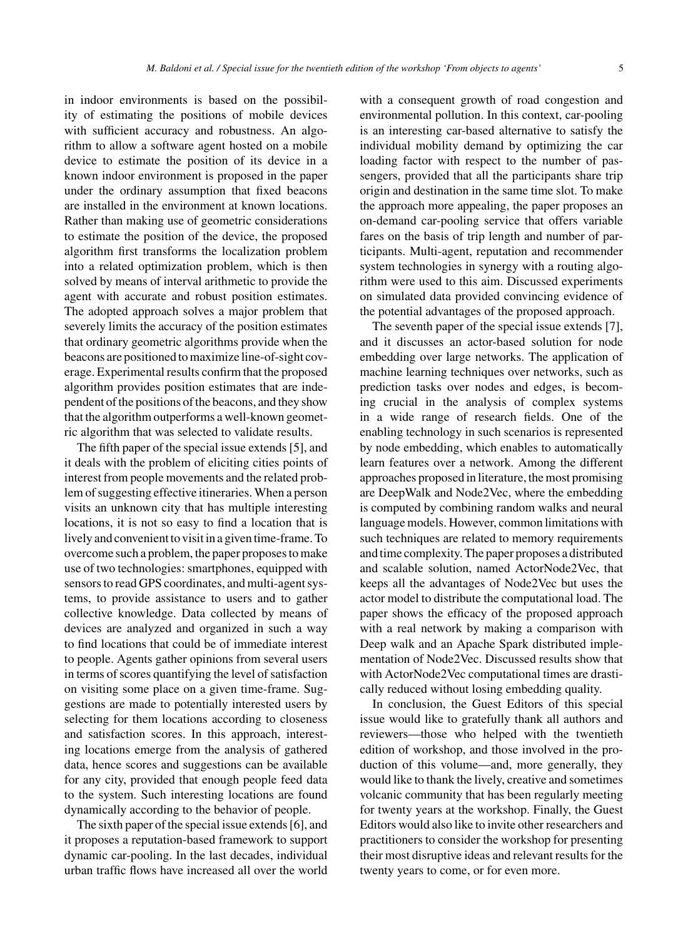in indoor environments is based on the possibility of estimating the positions of mobile devices with sufficient accuracy and robustness. An algorithm to allow a software agent hosted on a mobile device to estimate the position of its device in a known indoor environment is proposed in the paper under the ordinary assumption that fixed beacons are installed in the environment at known locations. Rather than making use of geometric considerations to estimate the position of the device, the proposed algorithm first transforms the localization problem into a related optimization problem, which is then solved by means of interval arithmetic to provide the agent with accurate and robust position estimates. The adopted approach solves a major problem that severely limits the accuracy of the position estimates that ordinary geometric algorithms provide when the beacons are positioned to maximize line-of-sight coverage. Experimental results confirm that the proposed algorithm provides position estimates that are independent of the positions of the beacons, and they show that the algorithm outperforms a well-known geometric algorithm that was selected to validate results.

The fifth paper of the special issue extends [5], and it deals with the problem of eliciting cities points of interest from people movements and the related problem of suggesting effective itineraries. When a person visits an unknown city that has multiple interesting locations, it is not so easy to find a location that is lively and convenient to visit in a given time-frame. To overcome such a problem, the paper proposes to make use of two technologies: smartphones, equipped with sensors to read GPS coordinates, and multi-agent systems, to provide assistance to users and to gather collective knowledge. Data collected by means of devices are analyzed and organized in such a way to find locations that could be of immediate interest to people. Agents gather opinions from several users in terms of scores quantifying the level of satisfaction on visiting some place on a given time-frame. Suggestions are made to potentially interested users by selecting for them locations according to closeness and satisfaction scores. In this approach, interesting locations emerge from the analysis of gathered data, hence scores and suggestions can be available for any city, provided that enough people feed data to the system. Such interesting locations are found dynamically according to the behavior of people.

The sixth paper of the special issue extends [6], and it proposes a reputation-based framework to support dynamic car-pooling. In the last decades, individual urban traffic flows have increased all over the world

with a consequent growth of road congestion and environmental pollution. In this context, car-pooling is an interesting car-based alternative to satisfy the individual mobility demand by optimizing the car loading factor with respect to the number of passengers, provided that all the participants share trip origin and destination in the same time slot. To make the approach more appealing, the paper proposes an on-demand car-pooling service that offers variable fares on the basis of trip length and number of participants. Multi-agent, reputation and recommender system technologies in synergy with a routing algorithm were used to this aim. Discussed experiments on simulated data provided convincing evidence of the potential advantages of the proposed approach.

The seventh paper of the special issue extends [7], and it discusses an actor-based solution for node embedding over large networks. The application of machine learning techniques over networks, such as prediction tasks over nodes and edges, is becoming crucial in the analysis of complex systems in a wide range of research fields. One of the enabling technology in such scenarios is represented by node embedding, which enables to automatically learn features over a network. Among the different approaches proposed in literature, the most promising are DeepWalk and Node2Vec, where the embedding is computed by combining random walks and neural language models. However, common limitations with such techniques are related to memory requirements and time complexity. The paper proposes a distributed and scalable solution, named ActorNode2Vec, that keeps all the advantages of Node2Vec but uses the actor model to distribute the computational load. The paper shows the efficacy of the proposed approach with a real network by making a comparison with Deep walk and an Apache Spark distributed implementation of Node2Vec. Discussed results show that with ActorNode2Vec computational times are drastically reduced without losing embedding quality.

In conclusion, the Guest Editors of this special issue would like to gratefully thank all authors and reviewers—those who helped with the twentieth edition of workshop, and those involved in the production of this volume—and, more generally, they would like to thank the lively, creative and sometimes volcanic community that has been regularly meeting for twenty years at the workshop. Finally, the Guest Editors would also like to invite other researchers and practitioners to consider the workshop for presenting their most disruptive ideas and relevant results for the twenty years to come, or for even more.